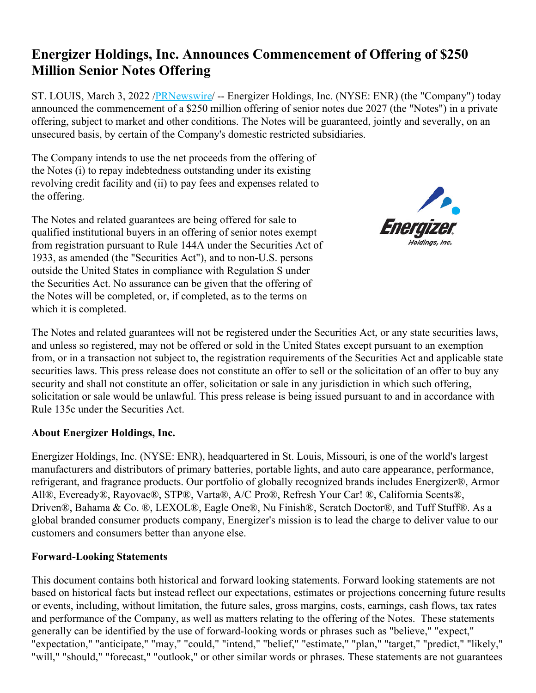## **Energizer Holdings, Inc. Announces Commencement of Offering of \$250 Million Senior Notes Offering**

ST. LOUIS, March 3, 2022 [/PRNewswire](http://www.prnewswire.com/)/ -- Energizer Holdings, Inc. (NYSE: ENR) (the "Company") today announced the commencement of a \$250 million offering of senior notes due 2027 (the "Notes") in a private offering, subject to market and other conditions. The Notes will be guaranteed, jointly and severally, on an unsecured basis, by certain of the Company's domestic restricted subsidiaries.

The Company intends to use the net proceeds from the offering of the Notes (i) to repay indebtedness outstanding under its existing revolving credit facility and (ii) to pay fees and expenses related to the offering.

The Notes and related guarantees are being offered for sale to qualified institutional buyers in an offering of senior notes exempt from registration pursuant to Rule 144A under the Securities Act of 1933, as amended (the "Securities Act"), and to non-U.S. persons outside the United States in compliance with Regulation S under the Securities Act. No assurance can be given that the offering of the Notes will be completed, or, if completed, as to the terms on which it is completed.



The Notes and related guarantees will not be registered under the Securities Act, or any state securities laws, and unless so registered, may not be offered or sold in the United States except pursuant to an exemption from, or in a transaction not subject to, the registration requirements of the Securities Act and applicable state securities laws. This press release does not constitute an offer to sell or the solicitation of an offer to buy any security and shall not constitute an offer, solicitation or sale in any jurisdiction in which such offering, solicitation or sale would be unlawful. This press release is being issued pursuant to and in accordance with Rule 135c under the Securities Act.

## **About Energizer Holdings, Inc.**

Energizer Holdings, Inc. (NYSE: ENR), headquartered in St. Louis, Missouri, is one of the world's largest manufacturers and distributors of primary batteries, portable lights, and auto care appearance, performance, refrigerant, and fragrance products. Our portfolio of globally recognized brands includes Energizer®, Armor All®, Eveready®, Rayovac®, STP®, Varta®, A/C Pro®, Refresh Your Car! ®, California Scents®, Driven®, Bahama & Co. ®, LEXOL®, Eagle One®, Nu Finish®, Scratch Doctor®, and Tuff Stuff®. As a global branded consumer products company, Energizer's mission is to lead the charge to deliver value to our customers and consumers better than anyone else.

## **Forward-Looking Statements**

This document contains both historical and forward looking statements. Forward looking statements are not based on historical facts but instead reflect our expectations, estimates or projections concerning future results or events, including, without limitation, the future sales, gross margins, costs, earnings, cash flows, tax rates and performance of the Company, as well as matters relating to the offering of the Notes. These statements generally can be identified by the use of forward-looking words or phrases such as "believe," "expect," "expectation," "anticipate," "may," "could," "intend," "belief," "estimate," "plan," "target," "predict," "likely," "will," "should," "forecast," "outlook," or other similar words or phrases. These statements are not guarantees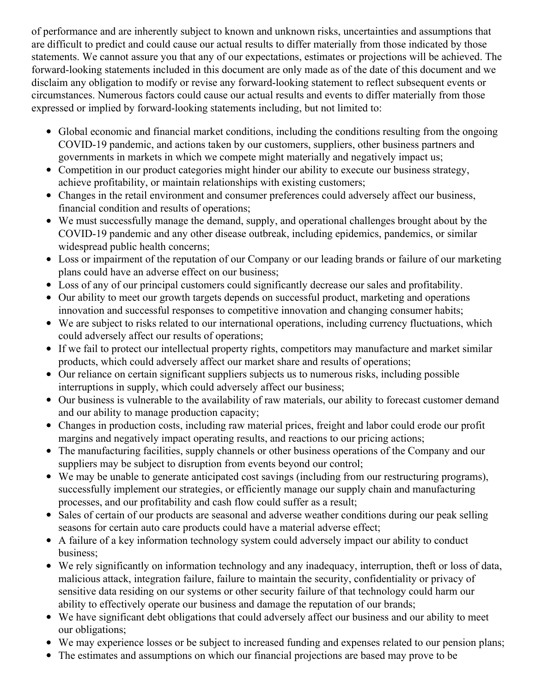of performance and are inherently subject to known and unknown risks, uncertainties and assumptions that are difficult to predict and could cause our actual results to differ materially from those indicated by those statements. We cannot assure you that any of our expectations, estimates or projections will be achieved. The forward-looking statements included in this document are only made as of the date of this document and we disclaim any obligation to modify or revise any forward-looking statement to reflect subsequent events or circumstances. Numerous factors could cause our actual results and events to differ materially from those expressed or implied by forward-looking statements including, but not limited to:

- Global economic and financial market conditions, including the conditions resulting from the ongoing COVID-19 pandemic, and actions taken by our customers, suppliers, other business partners and governments in markets in which we compete might materially and negatively impact us;
- Competition in our product categories might hinder our ability to execute our business strategy, achieve profitability, or maintain relationships with existing customers;
- Changes in the retail environment and consumer preferences could adversely affect our business, financial condition and results of operations;
- We must successfully manage the demand, supply, and operational challenges brought about by the COVID-19 pandemic and any other disease outbreak, including epidemics, pandemics, or similar widespread public health concerns;
- Loss or impairment of the reputation of our Company or our leading brands or failure of our marketing plans could have an adverse effect on our business;
- Loss of any of our principal customers could significantly decrease our sales and profitability.
- Our ability to meet our growth targets depends on successful product, marketing and operations innovation and successful responses to competitive innovation and changing consumer habits;
- We are subject to risks related to our international operations, including currency fluctuations, which could adversely affect our results of operations;
- If we fail to protect our intellectual property rights, competitors may manufacture and market similar products, which could adversely affect our market share and results of operations;
- Our reliance on certain significant suppliers subjects us to numerous risks, including possible interruptions in supply, which could adversely affect our business;
- Our business is vulnerable to the availability of raw materials, our ability to forecast customer demand and our ability to manage production capacity;
- Changes in production costs, including raw material prices, freight and labor could erode our profit margins and negatively impact operating results, and reactions to our pricing actions;
- The manufacturing facilities, supply channels or other business operations of the Company and our suppliers may be subject to disruption from events beyond our control;
- We may be unable to generate anticipated cost savings (including from our restructuring programs), successfully implement our strategies, or efficiently manage our supply chain and manufacturing processes, and our profitability and cash flow could suffer as a result;
- Sales of certain of our products are seasonal and adverse weather conditions during our peak selling seasons for certain auto care products could have a material adverse effect;
- A failure of a key information technology system could adversely impact our ability to conduct business;
- We rely significantly on information technology and any inadequacy, interruption, theft or loss of data, malicious attack, integration failure, failure to maintain the security, confidentiality or privacy of sensitive data residing on our systems or other security failure of that technology could harm our ability to effectively operate our business and damage the reputation of our brands;
- We have significant debt obligations that could adversely affect our business and our ability to meet our obligations;
- We may experience losses or be subject to increased funding and expenses related to our pension plans;
- The estimates and assumptions on which our financial projections are based may prove to be